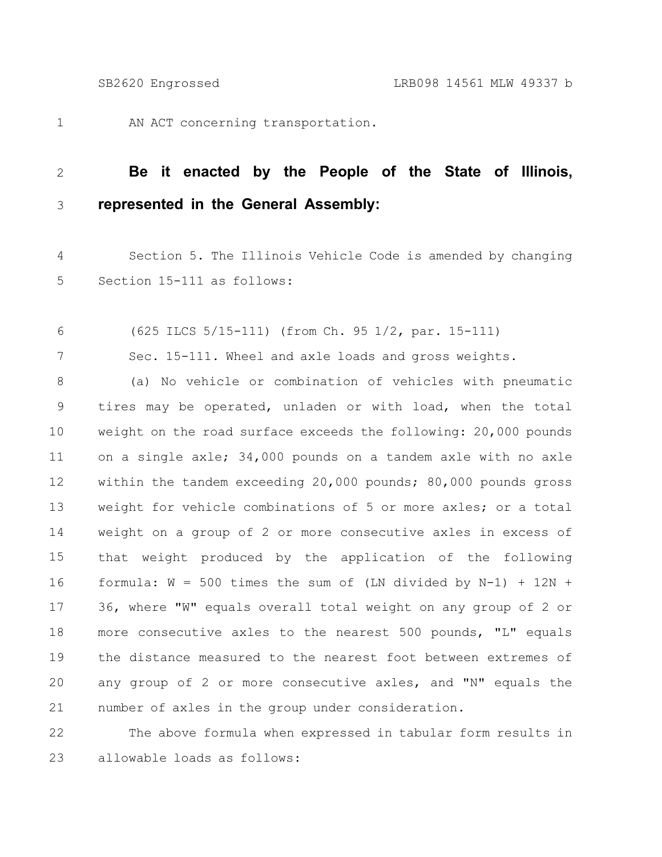1

7

AN ACT concerning transportation.

## **Be it enacted by the People of the State of Illinois, represented in the General Assembly:** 2 3

Section 5. The Illinois Vehicle Code is amended by changing Section 15-111 as follows: 4 5

(625 ILCS 5/15-111) (from Ch. 95 1/2, par. 15-111) 6

Sec. 15-111. Wheel and axle loads and gross weights.

(a) No vehicle or combination of vehicles with pneumatic tires may be operated, unladen or with load, when the total weight on the road surface exceeds the following: 20,000 pounds on a single axle; 34,000 pounds on a tandem axle with no axle within the tandem exceeding 20,000 pounds; 80,000 pounds gross weight for vehicle combinations of 5 or more axles; or a total weight on a group of 2 or more consecutive axles in excess of that weight produced by the application of the following formula:  $W = 500$  times the sum of (LN divided by N-1) + 12N + 36, where "W" equals overall total weight on any group of 2 or more consecutive axles to the nearest 500 pounds, "L" equals the distance measured to the nearest foot between extremes of any group of 2 or more consecutive axles, and "N" equals the number of axles in the group under consideration. 8 9 10 11 12 13 14 15 16 17 18 19 20 21

The above formula when expressed in tabular form results in allowable loads as follows: 22 23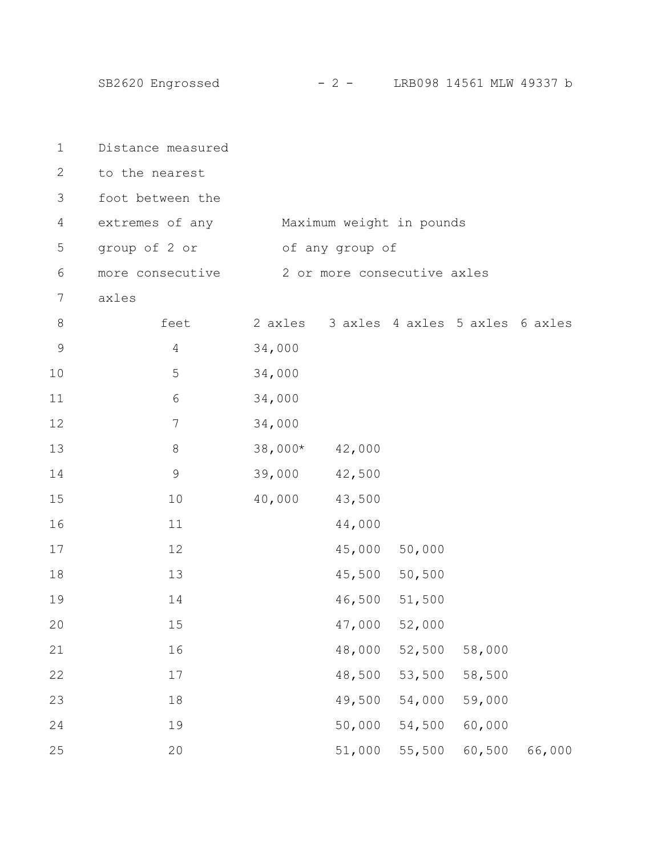SB2620 Engrossed - 2 - LRB098 14561 MLW 49337 b

| $\mathbf 1$   | Distance measured                        |                             |                                         |               |        |        |  |
|---------------|------------------------------------------|-----------------------------|-----------------------------------------|---------------|--------|--------|--|
| $\mathbf{2}$  | to the nearest                           |                             |                                         |               |        |        |  |
| 3             | foot between the                         |                             |                                         |               |        |        |  |
| 4             | extremes of any Maximum weight in pounds |                             |                                         |               |        |        |  |
| 5             | group of 2 or                            |                             | of any group of                         |               |        |        |  |
| 6             | more consecutive                         | 2 or more consecutive axles |                                         |               |        |        |  |
| 7             | axles                                    |                             |                                         |               |        |        |  |
| $8\,$         | feet                                     |                             | 2 axles 3 axles 4 axles 5 axles 6 axles |               |        |        |  |
| $\mathcal{G}$ | 4                                        | 34,000                      |                                         |               |        |        |  |
| 10            | 5                                        | 34,000                      |                                         |               |        |        |  |
| 11            | 6                                        | 34,000                      |                                         |               |        |        |  |
| 12            | $\overline{7}$                           | 34,000                      |                                         |               |        |        |  |
| 13            | 8                                        | $38,000*$                   | 42,000                                  |               |        |        |  |
| 14            | 9                                        | 39,000                      | 42,500                                  |               |        |        |  |
| 15            | 10                                       | 40,000                      | 43,500                                  |               |        |        |  |
| 16            | 11                                       |                             | 44,000                                  |               |        |        |  |
| 17            | 12                                       |                             |                                         | 45,000 50,000 |        |        |  |
| 18            | 13                                       |                             |                                         | 45,500 50,500 |        |        |  |
| 19            | 14                                       |                             |                                         | 46,500 51,500 |        |        |  |
| 20            | 15                                       |                             | 47,000                                  | 52,000        |        |        |  |
| 21            | 16                                       |                             | 48,000                                  | 52,500        | 58,000 |        |  |
| 22            | $17$                                     |                             | 48,500                                  | 53,500        | 58,500 |        |  |
| 23            | 18                                       |                             | 49,500                                  | 54,000        | 59,000 |        |  |
| 24            | 19                                       |                             | 50,000                                  | 54,500        | 60,000 |        |  |
| 25            | 20                                       |                             | 51,000                                  | 55,500        | 60,500 | 66,000 |  |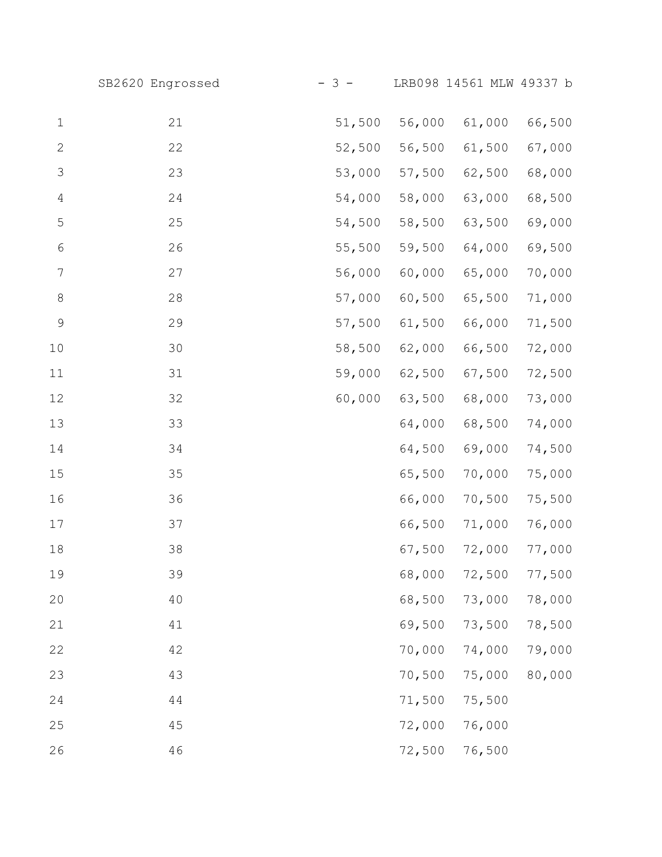|                  | SB2620 Engrossed | $-3 -$ |        | LRB098 14561 MLW 49337 b |        |
|------------------|------------------|--------|--------|--------------------------|--------|
| $\mathbf 1$      | 21               | 51,500 | 56,000 | 61,000                   | 66,500 |
| $\mathbf{2}$     | 22               | 52,500 | 56,500 | 61,500                   | 67,000 |
| 3                | 23               | 53,000 | 57,500 | 62,500                   | 68,000 |
| $\overline{4}$   | 24               | 54,000 | 58,000 | 63,000                   | 68,500 |
| $\mathsf S$      | 25               | 54,500 | 58,500 | 63,500                   | 69,000 |
| $\sqrt{6}$       | 26               | 55,500 | 59,500 | 64,000                   | 69,500 |
| $\boldsymbol{7}$ | 27               | 56,000 | 60,000 | 65,000                   | 70,000 |
| $\,8\,$          | 28               | 57,000 | 60,500 | 65,500                   | 71,000 |
| $\mathsf 9$      | 29               | 57,500 | 61,500 | 66,000                   | 71,500 |
| 10               | 30               | 58,500 | 62,000 | 66,500                   | 72,000 |
| 11               | 31               | 59,000 | 62,500 | 67,500                   | 72,500 |
| 12               | 32               | 60,000 | 63,500 | 68,000                   | 73,000 |
| 13               | 33               |        | 64,000 | 68,500                   | 74,000 |
| 14               | 34               |        | 64,500 | 69,000                   | 74,500 |
| 15               | 35               |        | 65,500 | 70,000                   | 75,000 |
| 16               | 36               |        | 66,000 | 70,500                   | 75,500 |
| 17               | 37               |        | 66,500 | 71,000                   | 76,000 |
| 18               | 38               |        | 67,500 | 72,000                   | 77,000 |
| 19               | 39               |        | 68,000 | 72,500                   | 77,500 |
| 20               | 40               |        | 68,500 | 73,000                   | 78,000 |
| 21               | 41               |        | 69,500 | 73,500                   | 78,500 |
| 22               | 42               |        | 70,000 | 74,000                   | 79,000 |
| 23               | 43               |        | 70,500 | 75,000                   | 80,000 |
| 24               | 44               |        | 71,500 | 75,500                   |        |
| 25               | 45               |        | 72,000 | 76,000                   |        |
| 26               | 46               |        | 72,500 | 76,500                   |        |
|                  |                  |        |        |                          |        |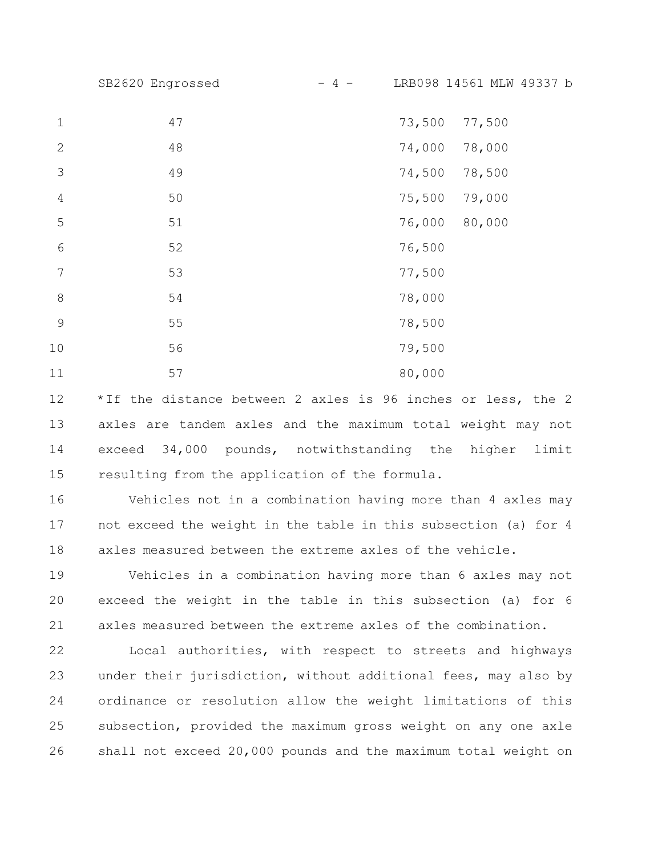SB2620 Engrossed - 4 - LRB098 14561 MLW 49337 b

| $\mathbf 1$    | 47 | 73,500<br>77,500 |
|----------------|----|------------------|
| $\mathbf{2}$   | 48 | 74,000<br>78,000 |
| 3              | 49 | 74,500<br>78,500 |
| $\overline{4}$ | 50 | 79,000<br>75,500 |
| 5              | 51 | 76,000<br>80,000 |
| 6              | 52 | 76,500           |
| 7              | 53 | 77,500           |
| $\,8\,$        | 54 | 78,000           |
| 9              | 55 | 78,500           |
| 10             | 56 | 79,500           |
| 11             | 57 | 80,000           |

\*If the distance between 2 axles is 96 inches or less, the 2 axles are tandem axles and the maximum total weight may not exceed 34,000 pounds, notwithstanding the higher limit resulting from the application of the formula. 12 13 14 15

Vehicles not in a combination having more than 4 axles may not exceed the weight in the table in this subsection (a) for 4 axles measured between the extreme axles of the vehicle. 16 17 18

Vehicles in a combination having more than 6 axles may not exceed the weight in the table in this subsection (a) for 6 axles measured between the extreme axles of the combination. 19 20 21

Local authorities, with respect to streets and highways under their jurisdiction, without additional fees, may also by ordinance or resolution allow the weight limitations of this subsection, provided the maximum gross weight on any one axle shall not exceed 20,000 pounds and the maximum total weight on 22 23 24 25 26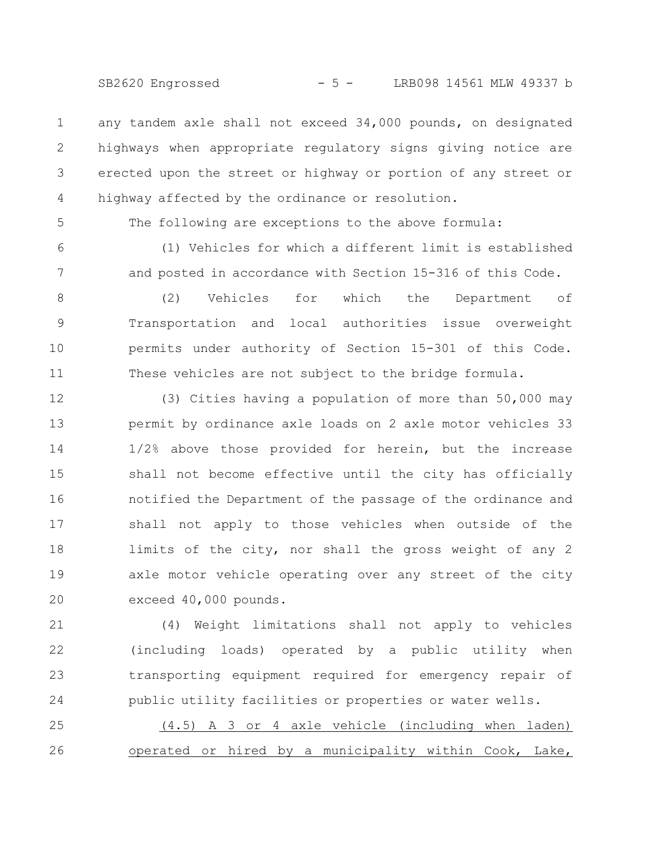SB2620 Engrossed - 5 - LRB098 14561 MLW 49337 b

any tandem axle shall not exceed 34,000 pounds, on designated highways when appropriate regulatory signs giving notice are erected upon the street or highway or portion of any street or highway affected by the ordinance or resolution. 1 2 3 4

5

The following are exceptions to the above formula:

6

7

(1) Vehicles for which a different limit is established and posted in accordance with Section 15-316 of this Code.

(2) Vehicles for which the Department of Transportation and local authorities issue overweight permits under authority of Section 15-301 of this Code. These vehicles are not subject to the bridge formula. 8 9 10 11

(3) Cities having a population of more than 50,000 may permit by ordinance axle loads on 2 axle motor vehicles 33 1/2% above those provided for herein, but the increase shall not become effective until the city has officially notified the Department of the passage of the ordinance and shall not apply to those vehicles when outside of the limits of the city, nor shall the gross weight of any 2 axle motor vehicle operating over any street of the city exceed 40,000 pounds. 12 13 14 15 16 17 18 19 20

(4) Weight limitations shall not apply to vehicles (including loads) operated by a public utility when transporting equipment required for emergency repair of public utility facilities or properties or water wells. 21 22 23 24

(4.5) A 3 or 4 axle vehicle (including when laden) operated or hired by a municipality within Cook, Lake, 25 26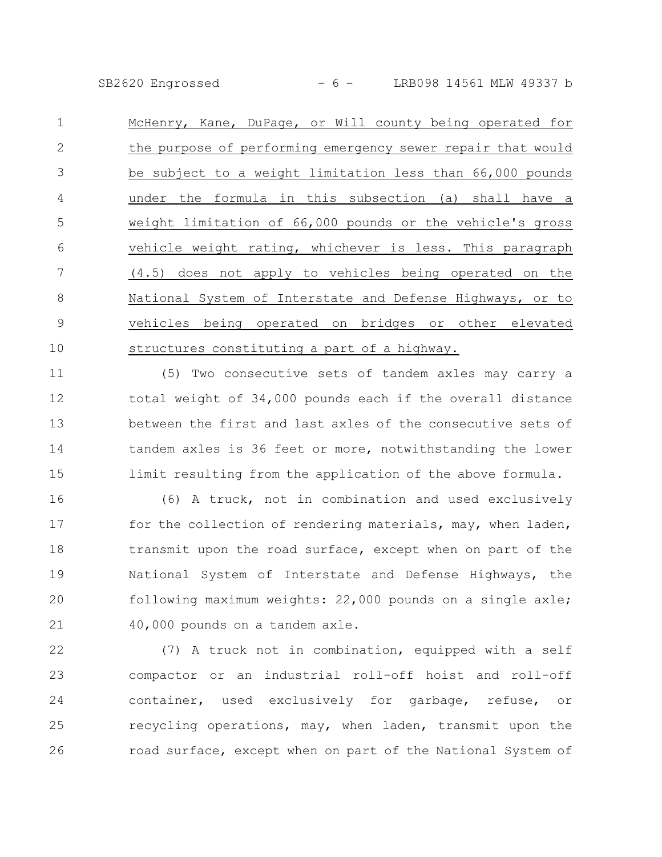SB2620 Engrossed - 6 - LRB098 14561 MLW 49337 b

McHenry, Kane, DuPage, or Will county being operated for the purpose of performing emergency sewer repair that would be subject to a weight limitation less than 66,000 pounds under the formula in this subsection (a) shall have a weight limitation of 66,000 pounds or the vehicle's gross vehicle weight rating, whichever is less. This paragraph (4.5) does not apply to vehicles being operated on the National System of Interstate and Defense Highways, or to vehicles being operated on bridges or other elevated structures constituting a part of a highway. 1 2 3 4 5 6 7 8 9 10

(5) Two consecutive sets of tandem axles may carry a total weight of 34,000 pounds each if the overall distance between the first and last axles of the consecutive sets of tandem axles is 36 feet or more, notwithstanding the lower limit resulting from the application of the above formula. 11 12 13 14 15

(6) A truck, not in combination and used exclusively for the collection of rendering materials, may, when laden, transmit upon the road surface, except when on part of the National System of Interstate and Defense Highways, the following maximum weights: 22,000 pounds on a single axle; 40,000 pounds on a tandem axle. 16 17 18 19 20 21

(7) A truck not in combination, equipped with a self compactor or an industrial roll-off hoist and roll-off container, used exclusively for garbage, refuse, or recycling operations, may, when laden, transmit upon the road surface, except when on part of the National System of 22 23 24 25 26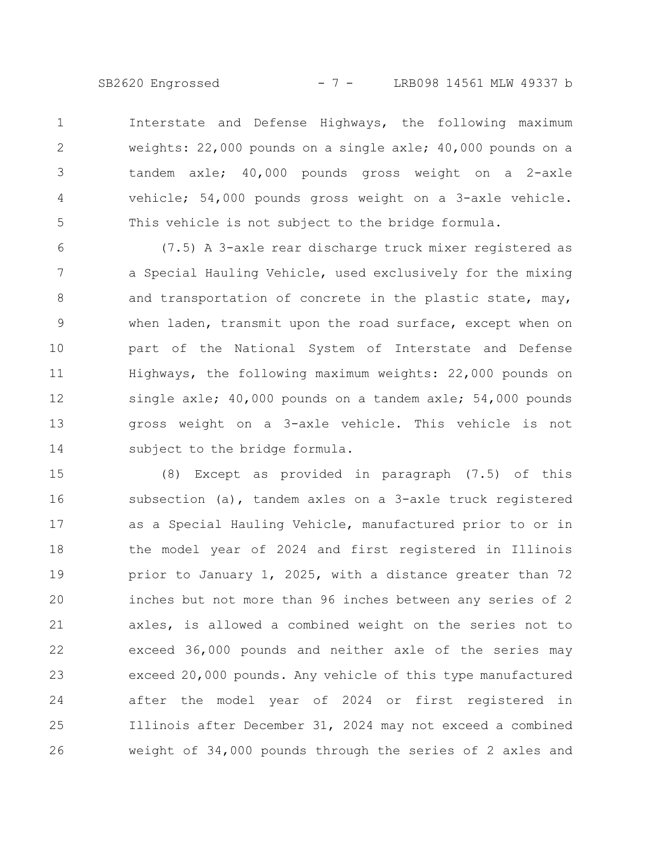SB2620 Engrossed - 7 - LRB098 14561 MLW 49337 b

Interstate and Defense Highways, the following maximum weights: 22,000 pounds on a single axle; 40,000 pounds on a tandem axle; 40,000 pounds gross weight on a 2-axle vehicle; 54,000 pounds gross weight on a 3-axle vehicle. This vehicle is not subject to the bridge formula. 1 2 3 4 5

(7.5) A 3-axle rear discharge truck mixer registered as a Special Hauling Vehicle, used exclusively for the mixing and transportation of concrete in the plastic state, may, when laden, transmit upon the road surface, except when on part of the National System of Interstate and Defense Highways, the following maximum weights: 22,000 pounds on single axle; 40,000 pounds on a tandem axle; 54,000 pounds gross weight on a 3-axle vehicle. This vehicle is not subject to the bridge formula. 6 7 8 9 10 11 12 13 14

(8) Except as provided in paragraph (7.5) of this subsection (a), tandem axles on a 3-axle truck registered as a Special Hauling Vehicle, manufactured prior to or in the model year of 2024 and first registered in Illinois prior to January 1, 2025, with a distance greater than 72 inches but not more than 96 inches between any series of 2 axles, is allowed a combined weight on the series not to exceed 36,000 pounds and neither axle of the series may exceed 20,000 pounds. Any vehicle of this type manufactured after the model year of 2024 or first registered in Illinois after December 31, 2024 may not exceed a combined weight of 34,000 pounds through the series of 2 axles and 15 16 17 18 19 20 21 22 23 24 25 26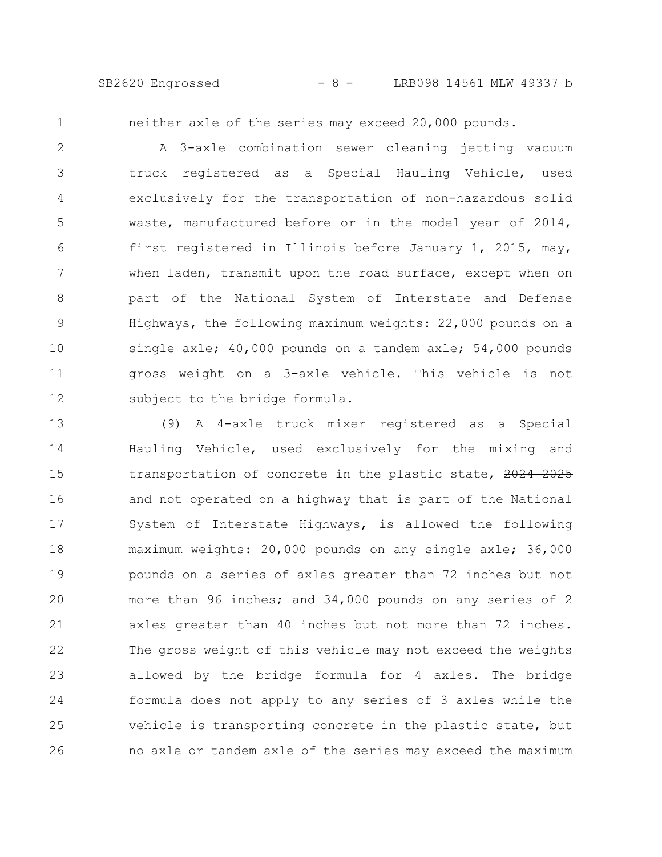SB2620 Engrossed - 8 - LRB098 14561 MLW 49337 b

1

neither axle of the series may exceed 20,000 pounds.

A 3-axle combination sewer cleaning jetting vacuum truck registered as a Special Hauling Vehicle, used exclusively for the transportation of non-hazardous solid waste, manufactured before or in the model year of 2014, first registered in Illinois before January 1, 2015, may, when laden, transmit upon the road surface, except when on part of the National System of Interstate and Defense Highways, the following maximum weights: 22,000 pounds on a single axle; 40,000 pounds on a tandem axle; 54,000 pounds gross weight on a 3-axle vehicle. This vehicle is not subject to the bridge formula. 2 3 4 5 6 7 8 9 10 11 12

(9) A 4-axle truck mixer registered as a Special Hauling Vehicle, used exclusively for the mixing and transportation of concrete in the plastic state, 2024 2025 and not operated on a highway that is part of the National System of Interstate Highways, is allowed the following maximum weights: 20,000 pounds on any single axle; 36,000 pounds on a series of axles greater than 72 inches but not more than 96 inches; and 34,000 pounds on any series of 2 axles greater than 40 inches but not more than 72 inches. The gross weight of this vehicle may not exceed the weights allowed by the bridge formula for 4 axles. The bridge formula does not apply to any series of 3 axles while the vehicle is transporting concrete in the plastic state, but no axle or tandem axle of the series may exceed the maximum 13 14 15 16 17 18 19 20 21 22 23 24 25 26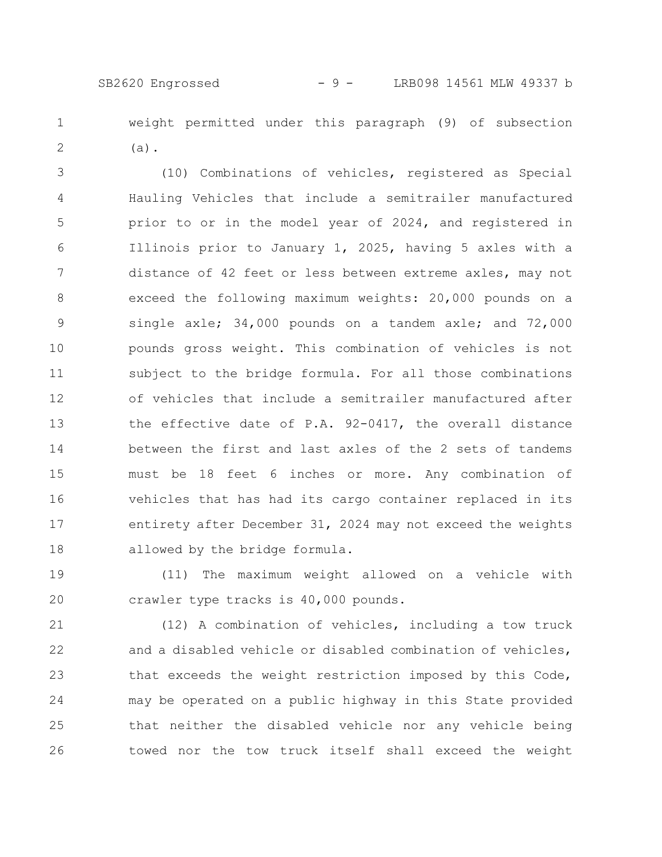weight permitted under this paragraph (9) of subsection (a). 1 2

(10) Combinations of vehicles, registered as Special Hauling Vehicles that include a semitrailer manufactured prior to or in the model year of 2024, and registered in Illinois prior to January 1, 2025, having 5 axles with a distance of 42 feet or less between extreme axles, may not exceed the following maximum weights: 20,000 pounds on a single axle; 34,000 pounds on a tandem axle; and 72,000 pounds gross weight. This combination of vehicles is not subject to the bridge formula. For all those combinations of vehicles that include a semitrailer manufactured after the effective date of P.A. 92-0417, the overall distance between the first and last axles of the 2 sets of tandems must be 18 feet 6 inches or more. Any combination of vehicles that has had its cargo container replaced in its entirety after December 31, 2024 may not exceed the weights allowed by the bridge formula. 3 4 5 6 7 8 9 10 11 12 13 14 15 16 17 18

(11) The maximum weight allowed on a vehicle with crawler type tracks is 40,000 pounds. 19 20

(12) A combination of vehicles, including a tow truck and a disabled vehicle or disabled combination of vehicles, that exceeds the weight restriction imposed by this Code, may be operated on a public highway in this State provided that neither the disabled vehicle nor any vehicle being towed nor the tow truck itself shall exceed the weight 21 22 23 24 25 26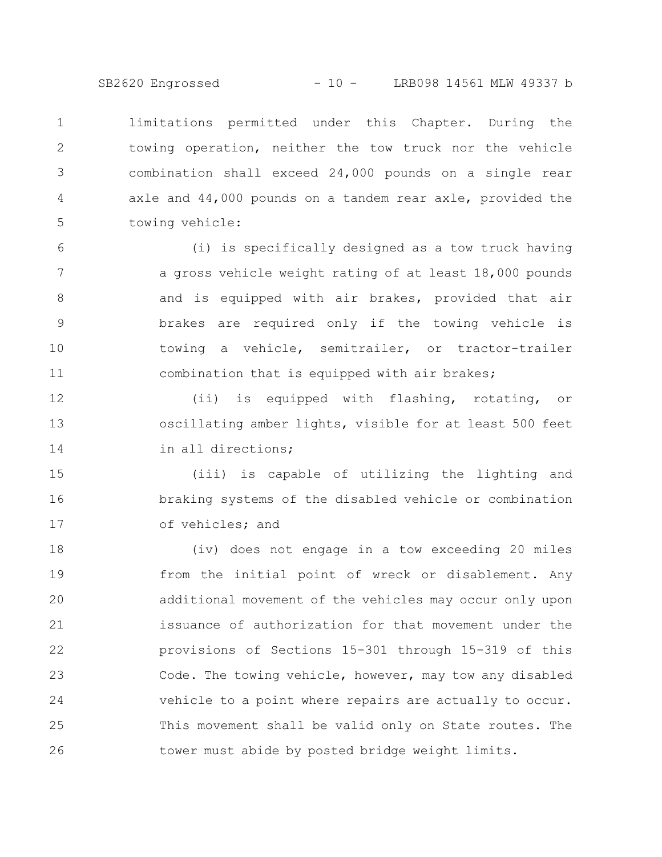limitations permitted under this Chapter. During the towing operation, neither the tow truck nor the vehicle combination shall exceed 24,000 pounds on a single rear axle and 44,000 pounds on a tandem rear axle, provided the towing vehicle: 1 2 3 4 5

(i) is specifically designed as a tow truck having a gross vehicle weight rating of at least 18,000 pounds and is equipped with air brakes, provided that air brakes are required only if the towing vehicle is towing a vehicle, semitrailer, or tractor-trailer combination that is equipped with air brakes; 6 7 8 9 10 11

(ii) is equipped with flashing, rotating, or oscillating amber lights, visible for at least 500 feet in all directions; 12 13 14

(iii) is capable of utilizing the lighting and braking systems of the disabled vehicle or combination of vehicles; and 15 16 17

(iv) does not engage in a tow exceeding 20 miles from the initial point of wreck or disablement. Any additional movement of the vehicles may occur only upon issuance of authorization for that movement under the provisions of Sections 15-301 through 15-319 of this Code. The towing vehicle, however, may tow any disabled vehicle to a point where repairs are actually to occur. This movement shall be valid only on State routes. The tower must abide by posted bridge weight limits. 18 19 20 21 22 23 24 25 26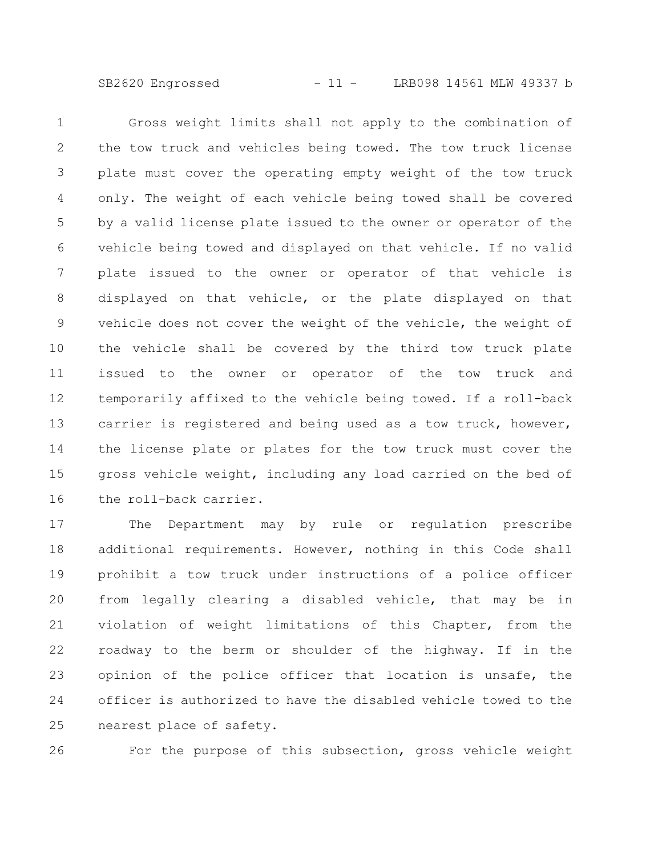SB2620 Engrossed - 11 - LRB098 14561 MLW 49337 b

Gross weight limits shall not apply to the combination of the tow truck and vehicles being towed. The tow truck license plate must cover the operating empty weight of the tow truck only. The weight of each vehicle being towed shall be covered by a valid license plate issued to the owner or operator of the vehicle being towed and displayed on that vehicle. If no valid plate issued to the owner or operator of that vehicle is displayed on that vehicle, or the plate displayed on that vehicle does not cover the weight of the vehicle, the weight of the vehicle shall be covered by the third tow truck plate issued to the owner or operator of the tow truck and temporarily affixed to the vehicle being towed. If a roll-back carrier is registered and being used as a tow truck, however, the license plate or plates for the tow truck must cover the gross vehicle weight, including any load carried on the bed of the roll-back carrier. 1 2 3 4 5 6 7 8 9 10 11 12 13 14 15 16

The Department may by rule or regulation prescribe additional requirements. However, nothing in this Code shall prohibit a tow truck under instructions of a police officer from legally clearing a disabled vehicle, that may be in violation of weight limitations of this Chapter, from the roadway to the berm or shoulder of the highway. If in the opinion of the police officer that location is unsafe, the officer is authorized to have the disabled vehicle towed to the nearest place of safety. 17 18 19 20 21 22 23 24 25

26

For the purpose of this subsection, gross vehicle weight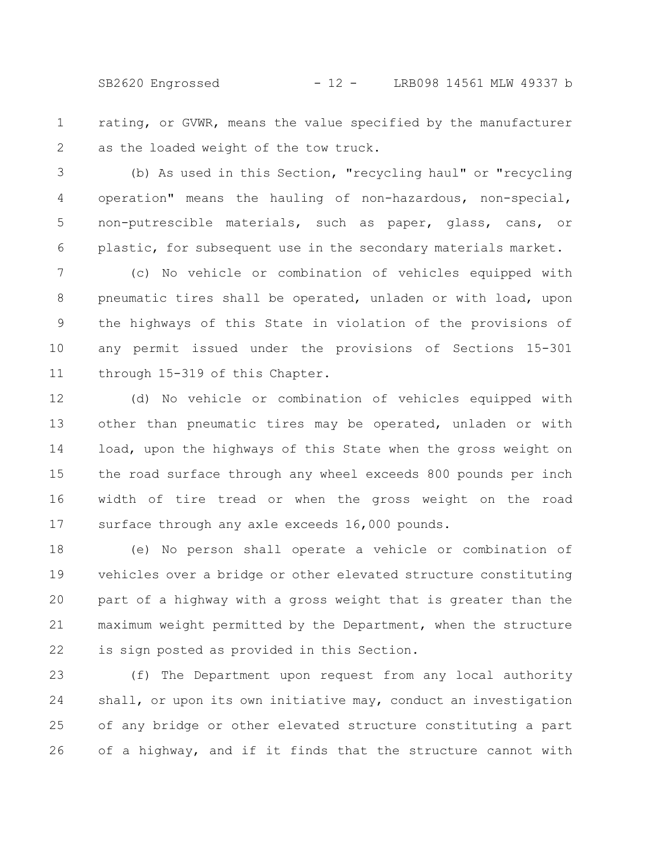SB2620 Engrossed - 12 - LRB098 14561 MLW 49337 b

rating, or GVWR, means the value specified by the manufacturer as the loaded weight of the tow truck. 1 2

(b) As used in this Section, "recycling haul" or "recycling operation" means the hauling of non-hazardous, non-special, non-putrescible materials, such as paper, glass, cans, or plastic, for subsequent use in the secondary materials market. 3 4 5 6

(c) No vehicle or combination of vehicles equipped with pneumatic tires shall be operated, unladen or with load, upon the highways of this State in violation of the provisions of any permit issued under the provisions of Sections 15-301 through 15-319 of this Chapter. 7 8 9 10 11

(d) No vehicle or combination of vehicles equipped with other than pneumatic tires may be operated, unladen or with load, upon the highways of this State when the gross weight on the road surface through any wheel exceeds 800 pounds per inch width of tire tread or when the gross weight on the road surface through any axle exceeds 16,000 pounds. 12 13 14 15 16 17

(e) No person shall operate a vehicle or combination of vehicles over a bridge or other elevated structure constituting part of a highway with a gross weight that is greater than the maximum weight permitted by the Department, when the structure is sign posted as provided in this Section. 18 19 20 21 22

(f) The Department upon request from any local authority shall, or upon its own initiative may, conduct an investigation of any bridge or other elevated structure constituting a part of a highway, and if it finds that the structure cannot with 23 24 25 26